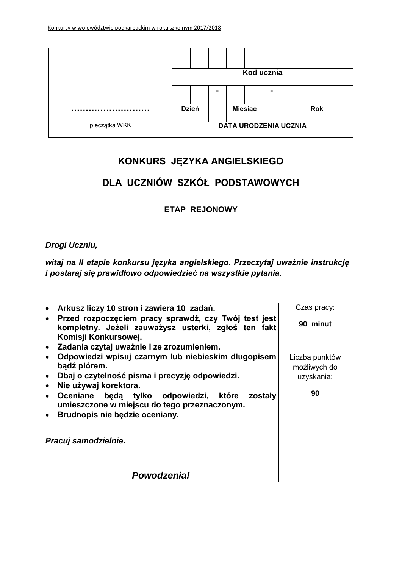|               | Kod ucznia   |                |  |                |                |                              |  |            |  |
|---------------|--------------|----------------|--|----------------|----------------|------------------------------|--|------------|--|
|               |              | $\blacksquare$ |  |                | $\blacksquare$ |                              |  |            |  |
| <br>          | <b>Dzień</b> |                |  | <b>Miesiąc</b> |                |                              |  | <b>Rok</b> |  |
| pieczątka WKK |              |                |  |                |                | <b>DATA URODZENIA UCZNIA</b> |  |            |  |

# **KONKURS JĘZYKA ANGIELSKIEGO**

# **DLA UCZNIÓW SZKÓŁ PODSTAWOWYCH**

**ETAP REJONOWY**

### *Drogi Uczniu,*

*witaj na II etapie konkursu języka angielskiego. Przeczytaj uważnie instrukcję i postaraj się prawidłowo odpowiedzieć na wszystkie pytania.*

| • Arkusz liczy 10 stron i zawiera 10 zadań.                                                                                                                                          | Czas pracy:                                  |
|--------------------------------------------------------------------------------------------------------------------------------------------------------------------------------------|----------------------------------------------|
| · Przed rozpoczęciem pracy sprawdź, czy Twój test jest<br>kompletny. Jeżeli zauważysz usterki, zgłoś ten fakt<br>Komisji Konkursowej.                                                | 90 minut                                     |
| · Zadania czytaj uważnie i ze zrozumieniem.                                                                                                                                          |                                              |
| Odpowiedzi wpisuj czarnym lub niebieskim długopisem<br>bądź piórem.<br>• Dbaj o czytelność pisma i precyzję odpowiedzi.                                                              | Liczba punktów<br>możliwych do<br>uzyskania: |
| Nie używaj korektora.<br>$\bullet$<br>Oceniane będą tylko odpowiedzi, które zostały<br>$\bullet$<br>umieszczone w miejscu do tego przeznaczonym.<br>• Brudnopis nie będzie oceniany. | 90                                           |
| Pracuj samodzielnie.                                                                                                                                                                 |                                              |
| Powodzenia!                                                                                                                                                                          |                                              |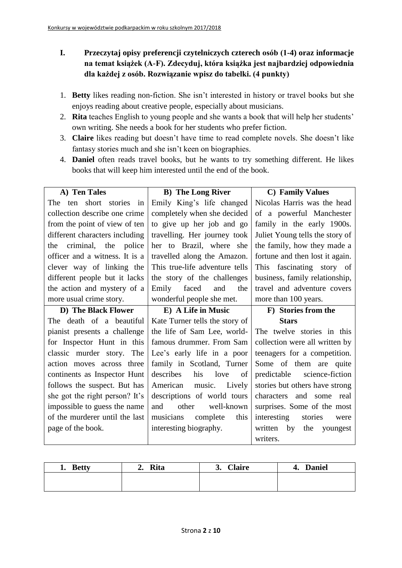- **I. Przeczytaj opisy preferencji czytelniczych czterech osób (1-4) oraz informacje na temat książek (A-F). Zdecyduj, która książka jest najbardziej odpowiednia dla każdej z osób. Rozwiązanie wpisz do tabelki. (4 punkty)**
- 1. **Betty** likes reading non-fiction. She isn't interested in history or travel books but she enjoys reading about creative people, especially about musicians.
- 2. **Rita** teaches English to young people and she wants a book that will help her students' own writing. She needs a book for her students who prefer fiction.
- 3. **Claire** likes reading but doesn't have time to read complete novels. She doesn't like fantasy stories much and she isn't keen on biographies.
- 4. **Daniel** often reads travel books, but he wants to try something different. He likes books that will keep him interested until the end of the book.

| A) Ten Tales                   | <b>B)</b> The Long River       | <b>C</b> ) Family Values         |  |  |  |  |
|--------------------------------|--------------------------------|----------------------------------|--|--|--|--|
| short stories in<br>The<br>ten | Emily King's life changed      | Nicolas Harris was the head      |  |  |  |  |
| collection describe one crime  | completely when she decided    | of a powerful Manchester         |  |  |  |  |
| from the point of view of ten  | to give up her job and go      | family in the early 1900s.       |  |  |  |  |
| different characters including | travelling. Her journey took   | Juliet Young tells the story of  |  |  |  |  |
| criminal, the police<br>the    | her to Brazil, where she       | the family, how they made a      |  |  |  |  |
| officer and a witness. It is a | travelled along the Amazon.    | fortune and then lost it again.  |  |  |  |  |
| clever way of linking the      | This true-life adventure tells | This fascinating story of        |  |  |  |  |
| different people but it lacks  | the story of the challenges    | business, family relationship,   |  |  |  |  |
| the action and mystery of a    | Emily<br>faced<br>and<br>the   | travel and adventure covers      |  |  |  |  |
| more usual crime story.        | wonderful people she met.      | more than 100 years.             |  |  |  |  |
| D) The Black Flower            | E) A Life in Music             | F) Stories from the              |  |  |  |  |
|                                |                                |                                  |  |  |  |  |
| The death of a beautiful       | Kate Turner tells the story of | <b>Stars</b>                     |  |  |  |  |
| pianist presents a challenge   | the life of Sam Lee, world-    | The twelve stories in this       |  |  |  |  |
| for Inspector Hunt in this     | famous drummer. From Sam       | collection were all written by   |  |  |  |  |
| classic murder story. The      | Lee's early life in a poor     | teenagers for a competition.     |  |  |  |  |
| action moves across three      | family in Scotland, Turner     | Some of them are quite           |  |  |  |  |
| continents as Inspector Hunt   | describes<br>his<br>love<br>оf | predictable science-fiction      |  |  |  |  |
| follows the suspect. But has   | American music.<br>Lively      | stories but others have strong   |  |  |  |  |
| she got the right person? It's | descriptions of world tours    | and some<br>characters<br>real   |  |  |  |  |
| impossible to guess the name   | and<br>other<br>well-known     | surprises. Some of the most      |  |  |  |  |
| of the murderer until the last | complete<br>this<br>musicians  | interesting<br>stories<br>were   |  |  |  |  |
| page of the book.              | interesting biography.         | written<br>by<br>the<br>youngest |  |  |  |  |

| <b>Betty</b><br>ı. | <b>Rita</b><br>∸∙ | <b>Claire</b><br>$\mathbf{J}$ | <b>Daniel</b><br>4. |
|--------------------|-------------------|-------------------------------|---------------------|
|                    |                   |                               |                     |
|                    |                   |                               |                     |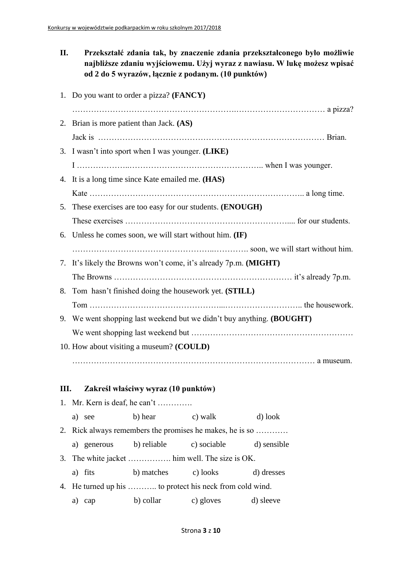**II. Przekształć zdania tak, by znaczenie zdania przekształconego było możliwie najbliższe zdaniu wyjściowemu. Użyj wyraz z nawiasu. W lukę możesz wpisać od 2 do 5 wyrazów, łącznie z podanym. (10 punktów)**

|    | 1. Do you want to order a pizza? (FANCY)                              |         |         |  |
|----|-----------------------------------------------------------------------|---------|---------|--|
|    |                                                                       |         |         |  |
|    | 2. Brian is more patient than Jack. (AS)                              |         |         |  |
|    |                                                                       |         |         |  |
|    | 3. I wasn't into sport when I was younger. (LIKE)                     |         |         |  |
|    |                                                                       |         |         |  |
|    | 4. It is a long time since Kate emailed me. (HAS)                     |         |         |  |
|    |                                                                       |         |         |  |
|    | 5. These exercises are too easy for our students. (ENOUGH)            |         |         |  |
|    |                                                                       |         |         |  |
|    | 6. Unless he comes soon, we will start without him. (IF)              |         |         |  |
|    |                                                                       |         |         |  |
|    | 7. It's likely the Browns won't come, it's already 7p.m. (MIGHT)      |         |         |  |
|    |                                                                       |         |         |  |
| 8. | Tom hasn't finished doing the housework yet. (STILL)                  |         |         |  |
|    |                                                                       |         |         |  |
|    | 9. We went shopping last weekend but we didn't buy anything. (BOUGHT) |         |         |  |
|    |                                                                       |         |         |  |
|    | 10. How about visiting a museum? (COULD)                              |         |         |  |
|    |                                                                       |         |         |  |
|    |                                                                       |         |         |  |
|    | III. Zakreśl właściwy wyraz (10 punktów)                              |         |         |  |
|    | 1. Mr. Kern is deaf, he can't                                         |         |         |  |
|    | b) hear<br>a) see                                                     | c) walk | d) look |  |

2. Rick always remembers the promises he makes, he is so …………

a) generous b) reliable c) sociable d) sensible

3. The white jacket ……………. him well. The size is OK.

- a) fits b) matches c) looks d) dresses
- 4. He turned up his ……….. to protect his neck from cold wind. a) cap b) collar c) gloves d) sleeve
	- Strona **3** z **10**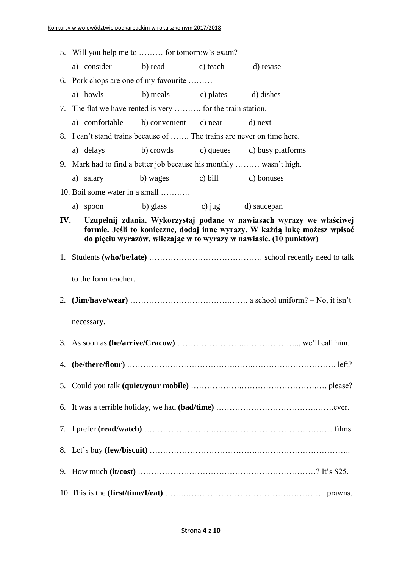| 5. Will you help me to  for tomorrow's exam?                           |                              |                                                                                                                                                |
|------------------------------------------------------------------------|------------------------------|------------------------------------------------------------------------------------------------------------------------------------------------|
| a) consider b) read c) teach                                           |                              | d) revise                                                                                                                                      |
| 6. Pork chops are one of my favourite                                  |                              |                                                                                                                                                |
| a) bowls                                                               | b) meals c) plates d) dishes |                                                                                                                                                |
| 7. The flat we have rented is very  for the train station.             |                              |                                                                                                                                                |
| a) comfortable                                                         | b) convenient c) near        | d) next                                                                                                                                        |
| 8. I can't stand trains because of  The trains are never on time here. |                              |                                                                                                                                                |
| a) delays                                                              |                              | b) crowds c) queues d) busy platforms                                                                                                          |
| 9. Mark had to find a better job because his monthly  wasn't high.     |                              |                                                                                                                                                |
| a) salary b) wages c) bill d) bonuses                                  |                              |                                                                                                                                                |
| 10. Boil some water in a small                                         |                              |                                                                                                                                                |
| a) spoon                                                               | b) glass c) jug d) saucepan  |                                                                                                                                                |
| IV.                                                                    |                              | Uzupełnij zdania. Wykorzystaj podane w nawiasach wyrazy we właściwej                                                                           |
|                                                                        |                              | formie. Jeśli to konieczne, dodaj inne wyrazy. W każdą lukę możesz wpisać<br>do pięciu wyrazów, wliczając w to wyrazy w nawiasie. (10 punktów) |
|                                                                        |                              |                                                                                                                                                |
|                                                                        |                              |                                                                                                                                                |
| to the form teacher.                                                   |                              |                                                                                                                                                |
|                                                                        |                              |                                                                                                                                                |
|                                                                        |                              |                                                                                                                                                |
| necessary.                                                             |                              |                                                                                                                                                |
|                                                                        |                              |                                                                                                                                                |
| 3. As soon as (he/arrive/Cracow)                                       |                              | we'll call him.                                                                                                                                |
|                                                                        |                              |                                                                                                                                                |
|                                                                        |                              |                                                                                                                                                |
|                                                                        |                              |                                                                                                                                                |
|                                                                        |                              |                                                                                                                                                |
|                                                                        |                              |                                                                                                                                                |
|                                                                        |                              |                                                                                                                                                |
|                                                                        |                              |                                                                                                                                                |
|                                                                        |                              |                                                                                                                                                |
|                                                                        |                              |                                                                                                                                                |
|                                                                        |                              |                                                                                                                                                |
|                                                                        |                              |                                                                                                                                                |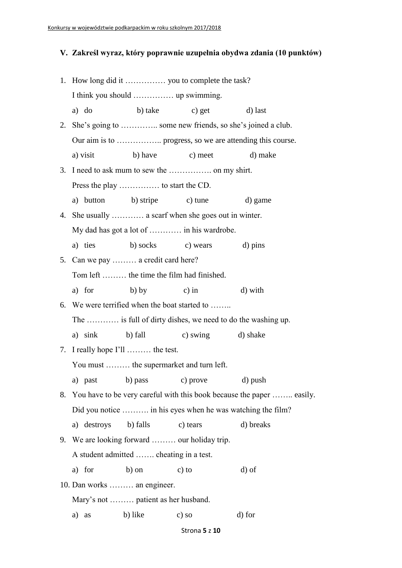## **V. Zakreśl wyraz, który poprawnie uzupełnia obydwa zdania (10 punktów)**

|    | a) do       |                                                   | b) take c) get            | d) last                                                                  |  |  |  |  |  |
|----|-------------|---------------------------------------------------|---------------------------|--------------------------------------------------------------------------|--|--|--|--|--|
| 2. |             |                                                   |                           | She's going to  some new friends, so she's joined a club.                |  |  |  |  |  |
|    |             |                                                   |                           |                                                                          |  |  |  |  |  |
|    | a) visit    | b) have                                           | c) meet                   | d) make                                                                  |  |  |  |  |  |
|    |             |                                                   |                           |                                                                          |  |  |  |  |  |
|    |             |                                                   |                           |                                                                          |  |  |  |  |  |
|    | a) button   | b) stripe c) tune                                 |                           | d) game                                                                  |  |  |  |  |  |
| 4. |             | She usually  a scarf when she goes out in winter. |                           |                                                                          |  |  |  |  |  |
|    |             |                                                   |                           |                                                                          |  |  |  |  |  |
|    | a) ties     |                                                   | b) socks c) wears d) pins |                                                                          |  |  |  |  |  |
| 5. |             | Can we pay  a credit card here?                   |                           |                                                                          |  |  |  |  |  |
|    |             | Tom left  the time the film had finished.         |                           |                                                                          |  |  |  |  |  |
|    | a) for      | $b)$ by                                           | $c)$ in                   | d) with                                                                  |  |  |  |  |  |
|    |             | 6. We were terrified when the boat started to     |                           |                                                                          |  |  |  |  |  |
|    |             |                                                   |                           | The  is full of dirty dishes, we need to do the washing up.              |  |  |  |  |  |
|    | a) sink     | b) fall                                           | c) swing                  | d) shake                                                                 |  |  |  |  |  |
|    |             | 7. I really hope I'll  the test.                  |                           |                                                                          |  |  |  |  |  |
|    |             | You must  the supermarket and turn left.          |                           |                                                                          |  |  |  |  |  |
|    |             | a) past b) pass                                   |                           | c) prove d) push                                                         |  |  |  |  |  |
|    |             |                                                   |                           | 8. You have to be very careful with this book because the paper  easily. |  |  |  |  |  |
|    |             |                                                   |                           | Did you notice  in his eyes when he was watching the film?               |  |  |  |  |  |
|    | a) destroys | b) falls                                          | c) tears                  | d) breaks                                                                |  |  |  |  |  |
|    |             | 9. We are looking forward  our holiday trip.      |                           |                                                                          |  |  |  |  |  |
|    |             | A student admitted  cheating in a test.           |                           |                                                                          |  |  |  |  |  |
|    | a) for      | b) on                                             | $c)$ to                   | d) of                                                                    |  |  |  |  |  |
|    |             | 10. Dan works  an engineer.                       |                           |                                                                          |  |  |  |  |  |
|    |             | Mary's not  patient as her husband.               |                           |                                                                          |  |  |  |  |  |
|    | a) as       | b) like                                           | $c)$ so                   | d) for                                                                   |  |  |  |  |  |

#### Strona **5** z **10**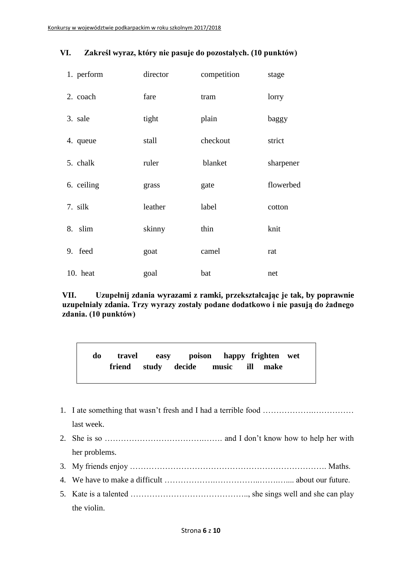| 1. perform | director | competition | stage     |
|------------|----------|-------------|-----------|
| 2. coach   | fare     | tram        | lorry     |
| 3. sale    | tight    | plain       | baggy     |
| 4. queue   | stall    | checkout    | strict    |
| 5. chalk   | ruler    | blanket     | sharpener |
| 6. ceiling | grass    | gate        | flowerbed |
| 7. silk    | leather  | label       | cotton    |
| 8. slim    | skinny   | thin        | knit      |
| 9. feed    | goat     | camel       | rat       |
| 10. heat   | goal     | bat         | net       |

#### **VI. Zakreśl wyraz, który nie pasuje do pozostałych. (10 punktów)**

**VII. Uzupełnij zdania wyrazami z ramki, przekształcając je tak, by poprawnie uzupełniały zdania. Trzy wyrazy zostały podane dodatkowo i nie pasują do żadnego zdania. (10 punktów)**

**do travel easy poison happy frighten wet friend study decide music ill make** 

- 1. I ate something that wasn't fresh and I had a terrible food ……………….…………… last week.
- 2. She is so ……………………………….……. and I don't know how to help her with her problems.
- 3. My friends enjoy ………………………………………………………………. Maths.
- 4. We have to make a difficult ……………………………………………………………… about our future.
- 5. Kate is a talented …………………………………….., she sings well and she can play the violin.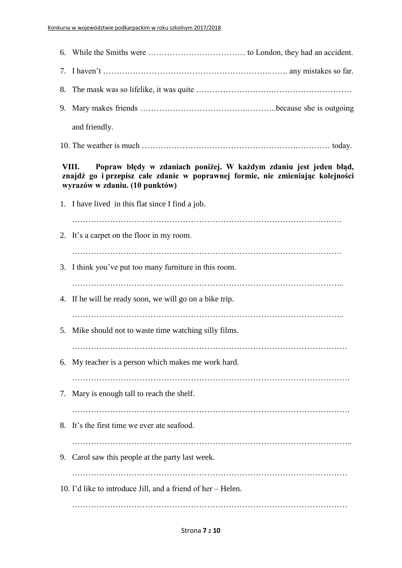| and friendly.                                                                                                                                                                                  |  |
|------------------------------------------------------------------------------------------------------------------------------------------------------------------------------------------------|--|
|                                                                                                                                                                                                |  |
| Popraw błędy w zdaniach poniżej. W każdym zdaniu jest jeden błąd,<br>VIII.<br>znajdź go i przepisz całe zdanie w poprawnej formie, nie zmieniając kolejności<br>wyrazów w zdaniu. (10 punktów) |  |
| 1. I have lived in this flat since I find a job.                                                                                                                                               |  |
| 2. It's a carpet on the floor in my room.                                                                                                                                                      |  |
| 3. I think you've put too many furniture in this room.                                                                                                                                         |  |
| 4. If he will be ready soon, we will go on a bike trip.                                                                                                                                        |  |
| 5. Mike should not to waste time watching silly films.                                                                                                                                         |  |
| 6. My teacher is a person which makes me work hard.                                                                                                                                            |  |
| 7. Mary is enough tall to reach the shelf.                                                                                                                                                     |  |
| 8. It's the first time we ever ate seafood.                                                                                                                                                    |  |
|                                                                                                                                                                                                |  |
| 9. Carol saw this people at the party last week.                                                                                                                                               |  |
| 10. I'd like to introduce Jill, and a friend of her – Helen.                                                                                                                                   |  |
|                                                                                                                                                                                                |  |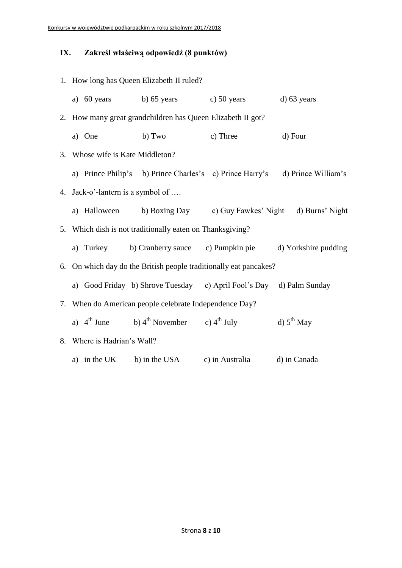# **IX. Zakreśl właściwą odpowiedź (8 punktów)**

| 1. How long has Queen Elizabeth II ruled? |                                                                              |                 |                 |  |  |  |  |  |  |
|-------------------------------------------|------------------------------------------------------------------------------|-----------------|-----------------|--|--|--|--|--|--|
|                                           | a) 60 years b) 65 years c) 50 years d) 63 years                              |                 |                 |  |  |  |  |  |  |
|                                           | 2. How many great grandchildren has Queen Elizabeth II got?                  |                 |                 |  |  |  |  |  |  |
| a) One                                    | b) Two                                                                       | c) Three        | d) Four         |  |  |  |  |  |  |
| 3. Whose wife is Kate Middleton?          |                                                                              |                 |                 |  |  |  |  |  |  |
|                                           | a) Prince Philip's b) Prince Charles's c) Prince Harry's d) Prince William's |                 |                 |  |  |  |  |  |  |
| 4. Jack-o'-lantern is a symbol of         |                                                                              |                 |                 |  |  |  |  |  |  |
|                                           | a) Halloween b) Boxing Day c) Guy Fawkes' Night d) Burns' Night              |                 |                 |  |  |  |  |  |  |
|                                           | 5. Which dish is not traditionally eaten on Thanksgiving?                    |                 |                 |  |  |  |  |  |  |
|                                           | a) Turkey b) Cranberry sauce c) Pumpkin pie d) Yorkshire pudding             |                 |                 |  |  |  |  |  |  |
|                                           | 6. On which day do the British people traditionally eat pancakes?            |                 |                 |  |  |  |  |  |  |
|                                           | a) Good Friday b) Shrove Tuesday c) April Fool's Day d) Palm Sunday          |                 |                 |  |  |  |  |  |  |
|                                           | 7. When do American people celebrate Independence Day?                       |                 |                 |  |  |  |  |  |  |
|                                           | a) $4^{th}$ June b) $4^{th}$ November c) $4^{th}$ July                       |                 | d) $5^{th}$ May |  |  |  |  |  |  |
| 8. Where is Hadrian's Wall?               |                                                                              |                 |                 |  |  |  |  |  |  |
|                                           | a) in the UK b) in the USA                                                   | c) in Australia | d) in Canada    |  |  |  |  |  |  |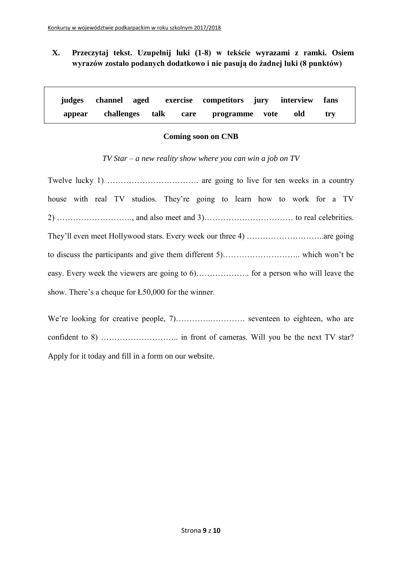## **X. Przeczytaj tekst. Uzupełnij luki (1-8) w tekście wyrazami z ramki. Osiem wyrazów zostało podanych dodatkowo i nie pasują do żadnej luki (8 punktów)**

|        |  | judges channel aged exercise competitors jury interview fans |     |     |  |
|--------|--|--------------------------------------------------------------|-----|-----|--|
| appear |  | challenges talk care programme vote                          | old | trv |  |

#### **Coming soon on CNB**

*TV Star – a new reality show where you can win a job on TV*

|  |  |  |  | house with real TV studios. They're going to learn how to work for a TV |  |  |  |  |  |  |
|--|--|--|--|-------------------------------------------------------------------------|--|--|--|--|--|--|
|  |  |  |  |                                                                         |  |  |  |  |  |  |
|  |  |  |  |                                                                         |  |  |  |  |  |  |
|  |  |  |  |                                                                         |  |  |  |  |  |  |
|  |  |  |  |                                                                         |  |  |  |  |  |  |
|  |  |  |  | show. There's a cheque for $E$ 50,000 for the winner.                   |  |  |  |  |  |  |

We're looking for creative people, 7)………………………………… seventeen to eighteen, who are confident to 8) ……………………….. in front of cameras. Will you be the next TV star? Apply for it today and fill in a form on our website.